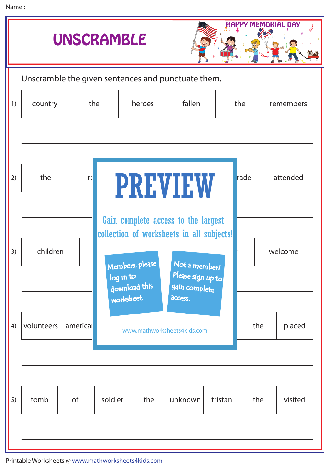|  | Name |  |
|--|------|--|
|  |      |  |

| <b>HAPPY MEMORIAL DAY</b><br><b>UNSCRAMBLE</b> |            |          |         |                                                                                                                                                                                          |         |         |      |         |           |  |
|------------------------------------------------|------------|----------|---------|------------------------------------------------------------------------------------------------------------------------------------------------------------------------------------------|---------|---------|------|---------|-----------|--|
|                                                |            |          |         | Unscramble the given sentences and punctuate them.                                                                                                                                       |         |         |      |         |           |  |
| 1)                                             | country    |          | the     | heroes                                                                                                                                                                                   | fallen  |         | the  |         | remembers |  |
|                                                |            |          |         |                                                                                                                                                                                          |         |         |      |         |           |  |
| 2)                                             | the        | rc       |         | <b>PREVIEW</b>                                                                                                                                                                           |         |         | rade |         | attended  |  |
| 3)                                             | children   |          |         | Gain complete access to the largest<br>collection of worksheets in all subjects!<br>Members, please<br>Not a member?<br>Please sign up to<br>log in to<br>download this<br>gain complete |         |         |      | welcome |           |  |
| 4)                                             | volunteers | americal |         | worksheet.<br>access.<br>www.mathworksheets4kids.com                                                                                                                                     |         |         | the  |         | placed    |  |
| 5)                                             | tomb       | of       | soldier | the                                                                                                                                                                                      | unknown | tristan | the  |         | visited   |  |
|                                                |            |          |         |                                                                                                                                                                                          |         |         |      |         |           |  |